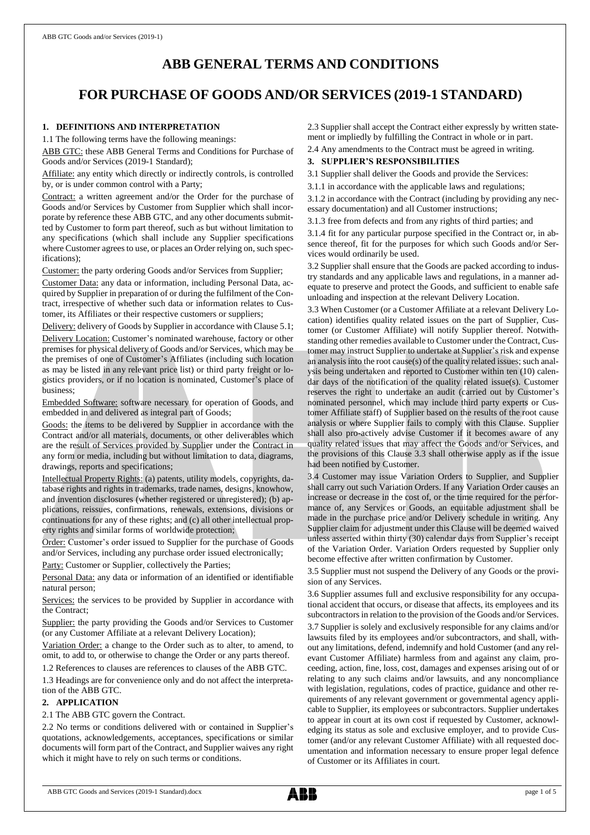# **ABB GENERAL TERMS AND CONDITIONS**

# **FOR PURCHASE OF GOODS AND/OR SERVICES (2019-1 STANDARD)**

# **1. DEFINITIONS AND INTERPRETATION**

1.1 The following terms have the following meanings:

ABB GTC: these ABB General Terms and Conditions for Purchase of Goods and/or Services (2019-1 Standard);

Affiliate: any entity which directly or indirectly controls, is controlled by, or is under common control with a Party;

Contract: a written agreement and/or the Order for the purchase of Goods and/or Services by Customer from Supplier which shall incorporate by reference these ABB GTC, and any other documents submitted by Customer to form part thereof, such as but without limitation to any specifications (which shall include any Supplier specifications where Customer agrees to use, or places an Order relying on, such specifications);

Customer: the party ordering Goods and/or Services from Supplier;

Customer Data: any data or information, including Personal Data, acquired by Supplier in preparation of or during the fulfilment of the Contract, irrespective of whether such data or information relates to Customer, its Affiliates or their respective customers or suppliers;

Delivery: delivery of Goods by Supplier in accordance with Clause 5.1; Delivery Location: Customer's nominated warehouse, factory or other premises for physical delivery of Goods and/or Services, which may be the premises of one of Customer's Affiliates (including such location as may be listed in any relevant price list) or third party freight or logistics providers, or if no location is nominated, Customer's place of business;

Embedded Software: software necessary for operation of Goods, and embedded in and delivered as integral part of Goods;

Goods: the items to be delivered by Supplier in accordance with the Contract and/or all materials, documents, or other deliverables which are the result of Services provided by Supplier under the Contract in any form or media, including but without limitation to data, diagrams, drawings, reports and specifications;

Intellectual Property Rights: (a) patents, utility models, copyrights, database rights and rights in trademarks, trade names, designs, knowhow, and invention disclosures (whether registered or unregistered); (b) applications, reissues, confirmations, renewals, extensions, divisions or continuations for any of these rights; and (c) all other intellectual property rights and similar forms of worldwide protection;

Order: Customer's order issued to Supplier for the purchase of Goods and/or Services, including any purchase order issued electronically;

Party: Customer or Supplier, collectively the Parties;

Personal Data: any data or information of an identified or identifiable natural person;

Services: the services to be provided by Supplier in accordance with the Contract;

Supplier: the party providing the Goods and/or Services to Customer (or any Customer Affiliate at a relevant Delivery Location);

Variation Order: a change to the Order such as to alter, to amend, to omit, to add to, or otherwise to change the Order or any parts thereof.

1.2 References to clauses are references to clauses of the ABB GTC.

1.3 Headings are for convenience only and do not affect the interpretation of the ABB GTC.

# **2. APPLICATION**

#### 2.1 The ABB GTC govern the Contract.

2.2 No terms or conditions delivered with or contained in Supplier's quotations, acknowledgements, acceptances, specifications or similar documents will form part of the Contract, and Supplier waives any right which it might have to rely on such terms or conditions.

2.3 Supplier shall accept the Contract either expressly by written statement or impliedly by fulfilling the Contract in whole or in part.

2.4 Any amendments to the Contract must be agreed in writing.

## **3. SUPPLIER'S RESPONSIBILITIES**

3.1 Supplier shall deliver the Goods and provide the Services:

3.1.1 in accordance with the applicable laws and regulations;

3.1.2 in accordance with the Contract (including by providing any necessary documentation) and all Customer instructions;

3.1.3 free from defects and from any rights of third parties; and

3.1.4 fit for any particular purpose specified in the Contract or, in absence thereof, fit for the purposes for which such Goods and/or Services would ordinarily be used.

3.2 Supplier shall ensure that the Goods are packed according to industry standards and any applicable laws and regulations, in a manner adequate to preserve and protect the Goods, and sufficient to enable safe unloading and inspection at the relevant Delivery Location.

3.3 When Customer (or a Customer Affiliate at a relevant Delivery Location) identifies quality related issues on the part of Supplier, Customer (or Customer Affiliate) will notify Supplier thereof. Notwithstanding other remedies available to Customer under the Contract, Customer may instruct Supplier to undertake at Supplier's risk and expense an analysis into the root cause(s) of the quality related issues; such analysis being undertaken and reported to Customer within ten (10) calendar days of the notification of the quality related issue(s). Customer reserves the right to undertake an audit (carried out by Customer's nominated personnel, which may include third party experts or Customer Affiliate staff) of Supplier based on the results of the root cause analysis or where Supplier fails to comply with this Clause. Supplier shall also pro-actively advise Customer if it becomes aware of any quality related issues that may affect the Goods and/or Services, and the provisions of this Clause 3.3 shall otherwise apply as if the issue had been notified by Customer.

3.4 Customer may issue Variation Orders to Supplier, and Supplier shall carry out such Variation Orders. If any Variation Order causes an increase or decrease in the cost of, or the time required for the performance of, any Services or Goods, an equitable adjustment shall be made in the purchase price and/or Delivery schedule in writing. Any Supplier claim for adjustment under this Clause will be deemed waived unless asserted within thirty (30) calendar days from Supplier's receipt of the Variation Order. Variation Orders requested by Supplier only become effective after written confirmation by Customer.

3.5 Supplier must not suspend the Delivery of any Goods or the provision of any Services.

3.6 Supplier assumes full and exclusive responsibility for any occupational accident that occurs, or disease that affects, its employees and its subcontractors in relation to the provision of the Goods and/or Services. 3.7 Supplier is solely and exclusively responsible for any claims and/or lawsuits filed by its employees and/or subcontractors, and shall, without any limitations, defend, indemnify and hold Customer (and any relevant Customer Affiliate) harmless from and against any claim, proceeding, action, fine, loss, cost, damages and expenses arising out of or relating to any such claims and/or lawsuits, and any noncompliance with legislation, regulations, codes of practice, guidance and other requirements of any relevant government or governmental agency applicable to Supplier, its employees or subcontractors. Supplier undertakes to appear in court at its own cost if requested by Customer, acknowledging its status as sole and exclusive employer, and to provide Customer (and/or any relevant Customer Affiliate) with all requested documentation and information necessary to ensure proper legal defence of Customer or its Affiliates in court.

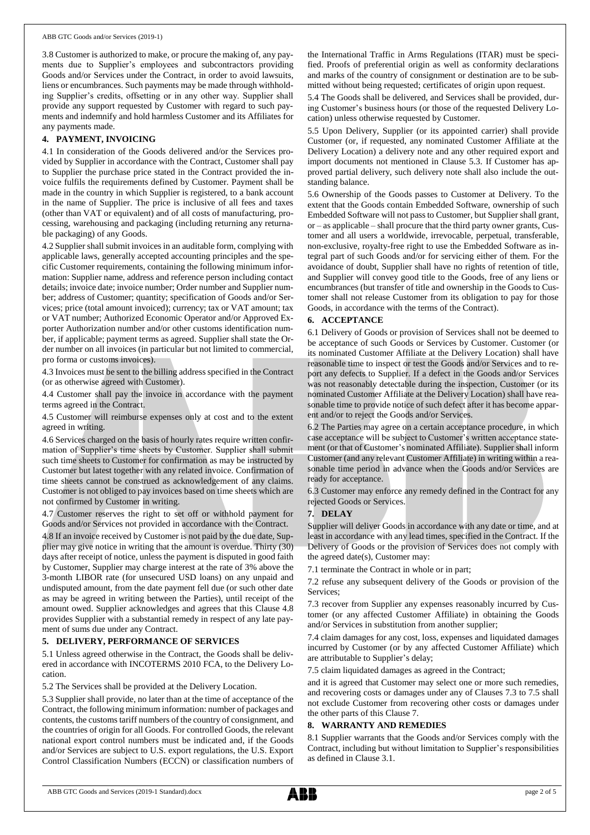3.8 Customer is authorized to make, or procure the making of, any payments due to Supplier's employees and subcontractors providing Goods and/or Services under the Contract, in order to avoid lawsuits, liens or encumbrances. Such payments may be made through withholding Supplier's credits, offsetting or in any other way. Supplier shall provide any support requested by Customer with regard to such payments and indemnify and hold harmless Customer and its Affiliates for any payments made.

## **4. PAYMENT, INVOICING**

4.1 In consideration of the Goods delivered and/or the Services provided by Supplier in accordance with the Contract, Customer shall pay to Supplier the purchase price stated in the Contract provided the invoice fulfils the requirements defined by Customer. Payment shall be made in the country in which Supplier is registered, to a bank account in the name of Supplier. The price is inclusive of all fees and taxes (other than VAT or equivalent) and of all costs of manufacturing, processing, warehousing and packaging (including returning any returnable packaging) of any Goods.

4.2 Supplier shall submit invoices in an auditable form, complying with applicable laws, generally accepted accounting principles and the specific Customer requirements, containing the following minimum information: Supplier name, address and reference person including contact details; invoice date; invoice number; Order number and Supplier number; address of Customer; quantity; specification of Goods and/or Services; price (total amount invoiced); currency; tax or VAT amount; tax or VAT number; Authorized Economic Operator and/or Approved Exporter Authorization number and/or other customs identification number, if applicable; payment terms as agreed. Supplier shall state the Order number on all invoices (in particular but not limited to commercial, pro forma or customs invoices).

4.3 Invoices must be sent to the billing address specified in the Contract (or as otherwise agreed with Customer).

4.4 Customer shall pay the invoice in accordance with the payment terms agreed in the Contract.

4.5 Customer will reimburse expenses only at cost and to the extent agreed in writing.

4.6 Services charged on the basis of hourly rates require written confirmation of Supplier's time sheets by Customer. Supplier shall submit such time sheets to Customer for confirmation as may be instructed by Customer but latest together with any related invoice. Confirmation of time sheets cannot be construed as acknowledgement of any claims. Customer is not obliged to pay invoices based on time sheets which are not confirmed by Customer in writing.

4.7 Customer reserves the right to set off or withhold payment for Goods and/or Services not provided in accordance with the Contract.

4.8 If an invoice received by Customer is not paid by the due date, Supplier may give notice in writing that the amount is overdue. Thirty (30) days after receipt of notice, unless the payment is disputed in good faith by Customer, Supplier may charge interest at the rate of 3% above the 3-month LIBOR rate (for unsecured USD loans) on any unpaid and undisputed amount, from the date payment fell due (or such other date as may be agreed in writing between the Parties), until receipt of the amount owed. Supplier acknowledges and agrees that this Clause 4.8 provides Supplier with a substantial remedy in respect of any late payment of sums due under any Contract.

## **5. DELIVERY, PERFORMANCE OF SERVICES**

5.1 Unless agreed otherwise in the Contract, the Goods shall be delivered in accordance with INCOTERMS 2010 FCA, to the Delivery Location.

5.2 The Services shall be provided at the Delivery Location.

5.3 Supplier shall provide, no later than at the time of acceptance of the Contract, the following minimum information: number of packages and contents, the customs tariff numbers of the country of consignment, and the countries of origin for all Goods. For controlled Goods, the relevant national export control numbers must be indicated and, if the Goods and/or Services are subject to U.S. export regulations, the U.S. Export Control Classification Numbers (ECCN) or classification numbers of the International Traffic in Arms Regulations (ITAR) must be specified. Proofs of preferential origin as well as conformity declarations and marks of the country of consignment or destination are to be submitted without being requested; certificates of origin upon request.

5.4 The Goods shall be delivered, and Services shall be provided, during Customer's business hours (or those of the requested Delivery Location) unless otherwise requested by Customer.

5.5 Upon Delivery, Supplier (or its appointed carrier) shall provide Customer (or, if requested, any nominated Customer Affiliate at the Delivery Location) a delivery note and any other required export and import documents not mentioned in Clause 5.3. If Customer has approved partial delivery, such delivery note shall also include the outstanding balance.

5.6 Ownership of the Goods passes to Customer at Delivery. To the extent that the Goods contain Embedded Software, ownership of such Embedded Software will not passto Customer, but Supplier shall grant, or – as applicable – shall procure that the third party owner grants, Customer and all users a worldwide, irrevocable, perpetual, transferable, non-exclusive, royalty-free right to use the Embedded Software as integral part of such Goods and/or for servicing either of them. For the avoidance of doubt, Supplier shall have no rights of retention of title, and Supplier will convey good title to the Goods, free of any liens or encumbrances (but transfer of title and ownership in the Goods to Customer shall not release Customer from its obligation to pay for those Goods, in accordance with the terms of the Contract).

## **6. ACCEPTANCE**

6.1 Delivery of Goods or provision of Services shall not be deemed to be acceptance of such Goods or Services by Customer. Customer (or its nominated Customer Affiliate at the Delivery Location) shall have reasonable time to inspect or test the Goods and/or Services and to report any defects to Supplier. If a defect in the Goods and/or Services was not reasonably detectable during the inspection, Customer (or its nominated Customer Affiliate at the Delivery Location) shall have reasonable time to provide notice of such defect after it has become apparent and/or to reject the Goods and/or Services.

6.2 The Parties may agree on a certain acceptance procedure, in which case acceptance will be subject to Customer's written acceptance statement (or that of Customer's nominated Affiliate). Supplier shall inform Customer (and any relevant Customer Affiliate) in writing within a reasonable time period in advance when the Goods and/or Services are ready for acceptance.

6.3 Customer may enforce any remedy defined in the Contract for any rejected Goods or Services.

## **7. DELAY**

Supplier will deliver Goods in accordance with any date or time, and at least in accordance with any lead times, specified in the Contract. If the Delivery of Goods or the provision of Services does not comply with the agreed date(s), Customer may:

7.1 terminate the Contract in whole or in part;

7.2 refuse any subsequent delivery of the Goods or provision of the Services;

7.3 recover from Supplier any expenses reasonably incurred by Customer (or any affected Customer Affiliate) in obtaining the Goods and/or Services in substitution from another supplier;

7.4 claim damages for any cost, loss, expenses and liquidated damages incurred by Customer (or by any affected Customer Affiliate) which are attributable to Supplier's delay;

7.5 claim liquidated damages as agreed in the Contract;

and it is agreed that Customer may select one or more such remedies, and recovering costs or damages under any of Clauses 7.3 to 7.5 shall not exclude Customer from recovering other costs or damages under the other parts of this Clause 7.

#### **8. WARRANTY AND REMEDIES**

8.1 Supplier warrants that the Goods and/or Services comply with the Contract, including but without limitation to Supplier's responsibilities as defined in Clause 3.1.

ABB GTC Goods and Services (2019-1 Standard).docx page 2 of 5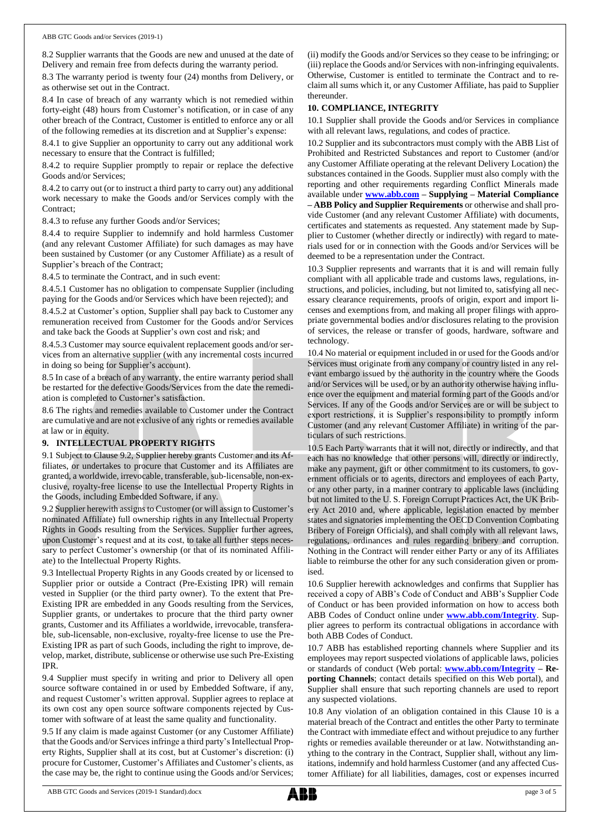8.2 Supplier warrants that the Goods are new and unused at the date of Delivery and remain free from defects during the warranty period.

8.3 The warranty period is twenty four (24) months from Delivery, or as otherwise set out in the Contract.

8.4 In case of breach of any warranty which is not remedied within forty-eight (48) hours from Customer's notification, or in case of any other breach of the Contract, Customer is entitled to enforce any or all of the following remedies at its discretion and at Supplier's expense:

8.4.1 to give Supplier an opportunity to carry out any additional work necessary to ensure that the Contract is fulfilled;

8.4.2 to require Supplier promptly to repair or replace the defective Goods and/or Services;

8.4.2 to carry out (or to instruct a third party to carry out) any additional work necessary to make the Goods and/or Services comply with the Contract;

8.4.3 to refuse any further Goods and/or Services;

8.4.4 to require Supplier to indemnify and hold harmless Customer (and any relevant Customer Affiliate) for such damages as may have been sustained by Customer (or any Customer Affiliate) as a result of Supplier's breach of the Contract;

8.4.5 to terminate the Contract, and in such event:

8.4.5.1 Customer has no obligation to compensate Supplier (including paying for the Goods and/or Services which have been rejected); and

8.4.5.2 at Customer's option, Supplier shall pay back to Customer any remuneration received from Customer for the Goods and/or Services and take back the Goods at Supplier's own cost and risk; and

8.4.5.3 Customer may source equivalent replacement goods and/or services from an alternative supplier (with any incremental costs incurred in doing so being for Supplier's account).

8.5 In case of a breach of any warranty, the entire warranty period shall be restarted for the defective Goods/Services from the date the remediation is completed to Customer's satisfaction.

8.6 The rights and remedies available to Customer under the Contract are cumulative and are not exclusive of any rights or remedies available at law or in equity.

## **9. INTELLECTUAL PROPERTY RIGHTS**

9.1 Subject to Clause 9.2, Supplier hereby grants Customer and its Affiliates, or undertakes to procure that Customer and its Affiliates are granted, a worldwide, irrevocable, transferable, sub-licensable, non-exclusive, royalty-free license to use the Intellectual Property Rights in the Goods, including Embedded Software, if any.

9.2 Supplier herewith assigns to Customer (or will assign to Customer's nominated Affiliate) full ownership rights in any Intellectual Property Rights in Goods resulting from the Services. Supplier further agrees, upon Customer's request and at its cost, to take all further steps necessary to perfect Customer's ownership (or that of its nominated Affiliate) to the Intellectual Property Rights.

9.3 Intellectual Property Rights in any Goods created by or licensed to Supplier prior or outside a Contract (Pre-Existing IPR) will remain vested in Supplier (or the third party owner). To the extent that Pre-Existing IPR are embedded in any Goods resulting from the Services, Supplier grants, or undertakes to procure that the third party owner grants, Customer and its Affiliates a worldwide, irrevocable, transferable, sub-licensable, non-exclusive, royalty-free license to use the Pre-Existing IPR as part of such Goods, including the right to improve, develop, market, distribute, sublicense or otherwise use such Pre-Existing IPR.

9.4 Supplier must specify in writing and prior to Delivery all open source software contained in or used by Embedded Software, if any, and request Customer's written approval. Supplier agrees to replace at its own cost any open source software components rejected by Customer with software of at least the same quality and functionality.

9.5 If any claim is made against Customer (or any Customer Affiliate) that the Goods and/or Services infringe a third party's Intellectual Property Rights, Supplier shall at its cost, but at Customer's discretion: (i) procure for Customer, Customer's Affiliates and Customer's clients, as the case may be, the right to continue using the Goods and/or Services; (ii) modify the Goods and/or Services so they cease to be infringing; or (iii) replace the Goods and/or Services with non-infringing equivalents. Otherwise, Customer is entitled to terminate the Contract and to reclaim all sums which it, or any Customer Affiliate, has paid to Supplier thereunder.

#### **10. COMPLIANCE, INTEGRITY**

10.1 Supplier shall provide the Goods and/or Services in compliance with all relevant laws, regulations, and codes of practice.

10.2 Supplier and its subcontractors must comply with the ABB List of Prohibited and Restricted Substances and report to Customer (and/or any Customer Affiliate operating at the relevant Delivery Location) the substances contained in the Goods. Supplier must also comply with the reporting and other requirements regarding Conflict Minerals made available under **[www.abb.com](http://www.abb.com/) – Supplying – Material Compliance – ABB Policy and Supplier Requirements** or otherwise and shall provide Customer (and any relevant Customer Affiliate) with documents, certificates and statements as requested. Any statement made by Supplier to Customer (whether directly or indirectly) with regard to materials used for or in connection with the Goods and/or Services will be deemed to be a representation under the Contract.

10.3 Supplier represents and warrants that it is and will remain fully compliant with all applicable trade and customs laws, regulations, instructions, and policies, including, but not limited to, satisfying all necessary clearance requirements, proofs of origin, export and import licenses and exemptions from, and making all proper filings with appropriate governmental bodies and/or disclosures relating to the provision of services, the release or transfer of goods, hardware, software and technology.

10.4 No material or equipment included in or used for the Goods and/or Services must originate from any company or country listed in any relevant embargo issued by the authority in the country where the Goods and/or Services will be used, or by an authority otherwise having influence over the equipment and material forming part of the Goods and/or Services. If any of the Goods and/or Services are or will be subject to export restrictions, it is Supplier's responsibility to promptly inform Customer (and any relevant Customer Affiliate) in writing of the particulars of such restrictions.

10.5 Each Party warrants that it will not, directly or indirectly, and that each has no knowledge that other persons will, directly or indirectly, make any payment, gift or other commitment to its customers, to government officials or to agents, directors and employees of each Party, or any other party, in a manner contrary to applicable laws (including but not limited to the U. S. Foreign Corrupt Practices Act, the UK Bribery Act 2010 and, where applicable, legislation enacted by member states and signatories implementing the OECD Convention Combating Bribery of Foreign Officials), and shall comply with all relevant laws, regulations, ordinances and rules regarding bribery and corruption. Nothing in the Contract will render either Party or any of its Affiliates liable to reimburse the other for any such consideration given or promised.

10.6 Supplier herewith acknowledges and confirms that Supplier has received a copy of ABB's Code of Conduct and ABB's Supplier Code of Conduct or has been provided information on how to access both ABB Codes of Conduct online under **[www.abb.com/Integrity](http://www.abb.com/Integrity)**. Supplier agrees to perform its contractual obligations in accordance with both ABB Codes of Conduct.

10.7 ABB has established reporting channels where Supplier and its employees may report suspected violations of applicable laws, policies or standards of conduct (Web portal: **[www.abb.com/Integrity](http://www.abb.com/Integrity) – Reporting Channels**; contact details specified on this Web portal), and Supplier shall ensure that such reporting channels are used to report any suspected violations.

10.8 Any violation of an obligation contained in this Clause 10 is a material breach of the Contract and entitles the other Party to terminate the Contract with immediate effect and without prejudice to any further rights or remedies available thereunder or at law. Notwithstanding anything to the contrary in the Contract, Supplier shall, without any limitations, indemnify and hold harmless Customer (and any affected Customer Affiliate) for all liabilities, damages, cost or expenses incurred

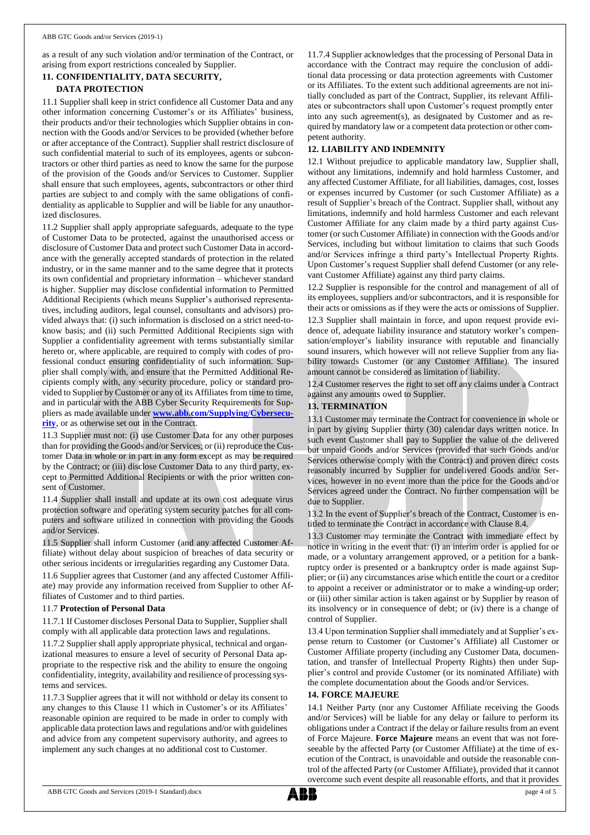as a result of any such violation and/or termination of the Contract, or arising from export restrictions concealed by Supplier.

# **11. CONFIDENTIALITY, DATA SECURITY, DATA PROTECTION**

11.1 Supplier shall keep in strict confidence all Customer Data and any other information concerning Customer's or its Affiliates' business, their products and/or their technologies which Supplier obtains in connection with the Goods and/or Services to be provided (whether before or after acceptance of the Contract). Supplier shall restrict disclosure of such confidential material to such of its employees, agents or subcontractors or other third parties as need to know the same for the purpose of the provision of the Goods and/or Services to Customer. Supplier shall ensure that such employees, agents, subcontractors or other third parties are subject to and comply with the same obligations of confidentiality as applicable to Supplier and will be liable for any unauthorized disclosures.

11.2 Supplier shall apply appropriate safeguards, adequate to the type of Customer Data to be protected, against the unauthorised access or disclosure of Customer Data and protect such Customer Data in accordance with the generally accepted standards of protection in the related industry, or in the same manner and to the same degree that it protects its own confidential and proprietary information – whichever standard is higher. Supplier may disclose confidential information to Permitted Additional Recipients (which means Supplier's authorised representatives, including auditors, legal counsel, consultants and advisors) provided always that: (i) such information is disclosed on a strict need-toknow basis; and (ii) such Permitted Additional Recipients sign with Supplier a confidentiality agreement with terms substantially similar hereto or, where applicable, are required to comply with codes of professional conduct ensuring confidentiality of such information. Supplier shall comply with, and ensure that the Permitted Additional Recipients comply with, any security procedure, policy or standard provided to Supplier by Customer or any of its Affiliates from time to time, and in particular with the ABB Cyber Security Requirements for Suppliers as made available under **[www.abb.com/Supplying/Cybersecu](http://www.abb.com/Supplying/Cybersecurity)[rity](http://www.abb.com/Supplying/Cybersecurity)**, or as otherwise set out in the Contract.

11.3 Supplier must not: (i) use Customer Data for any other purposes than for providing the Goods and/or Services; or (ii) reproduce the Customer Data in whole or in part in any form except as may be required by the Contract; or (iii) disclose Customer Data to any third party, except to Permitted Additional Recipients or with the prior written consent of Customer.

11.4 Supplier shall install and update at its own cost adequate virus protection software and operating system security patches for all computers and software utilized in connection with providing the Goods and/or Services.

11.5 Supplier shall inform Customer (and any affected Customer Affiliate) without delay about suspicion of breaches of data security or other serious incidents or irregularities regarding any Customer Data.

11.6 Supplier agrees that Customer (and any affected Customer Affiliate) may provide any information received from Supplier to other Affiliates of Customer and to third parties.

## 11.7 **Protection of Personal Data**

11.7.1 If Customer discloses Personal Data to Supplier, Supplier shall comply with all applicable data protection laws and regulations.

11.7.2 Supplier shall apply appropriate physical, technical and organizational measures to ensure a level of security of Personal Data appropriate to the respective risk and the ability to ensure the ongoing confidentiality, integrity, availability and resilience of processing systems and services.

11.7.3 Supplier agrees that it will not withhold or delay its consent to any changes to this Clause 11 which in Customer's or its Affiliates' reasonable opinion are required to be made in order to comply with applicable data protection laws and regulations and/or with guidelines and advice from any competent supervisory authority, and agrees to implement any such changes at no additional cost to Customer.

11.7.4 Supplier acknowledges that the processing of Personal Data in accordance with the Contract may require the conclusion of additional data processing or data protection agreements with Customer or its Affiliates. To the extent such additional agreements are not initially concluded as part of the Contract, Supplier, its relevant Affiliates or subcontractors shall upon Customer's request promptly enter into any such agreement(s), as designated by Customer and as required by mandatory law or a competent data protection or other competent authority.

# **12. LIABILITY AND INDEMNITY**

12.1 Without prejudice to applicable mandatory law, Supplier shall, without any limitations, indemnify and hold harmless Customer, and any affected Customer Affiliate, for all liabilities, damages, cost, losses or expenses incurred by Customer (or such Customer Affiliate) as a result of Supplier's breach of the Contract. Supplier shall, without any limitations, indemnify and hold harmless Customer and each relevant Customer Affiliate for any claim made by a third party against Customer (or such Customer Affiliate) in connection with the Goods and/or Services, including but without limitation to claims that such Goods and/or Services infringe a third party's Intellectual Property Rights. Upon Customer's request Supplier shall defend Customer (or any relevant Customer Affiliate) against any third party claims.

12.2 Supplier is responsible for the control and management of all of its employees, suppliers and/or subcontractors, and it is responsible for their acts or omissions as if they were the acts or omissions of Supplier.

12.3 Supplier shall maintain in force, and upon request provide evidence of, adequate liability insurance and statutory worker's compensation/employer's liability insurance with reputable and financially sound insurers, which however will not relieve Supplier from any liability towards Customer (or any Customer Affiliate). The insured amount cannot be considered as limitation of liability.

12.4 Customer reserves the right to set off any claims under a Contract against any amounts owed to Supplier.

## **13. TERMINATION**

13.1 Customer may terminate the Contract for convenience in whole or in part by giving Supplier thirty (30) calendar days written notice. In such event Customer shall pay to Supplier the value of the delivered but unpaid Goods and/or Services (provided that such Goods and/or Services otherwise comply with the Contract) and proven direct costs reasonably incurred by Supplier for undelivered Goods and/or Services, however in no event more than the price for the Goods and/or Services agreed under the Contract. No further compensation will be due to Supplier.

13.2 In the event of Supplier's breach of the Contract, Customer is entitled to terminate the Contract in accordance with Clause 8.4.

13.3 Customer may terminate the Contract with immediate effect by notice in writing in the event that: (i) an interim order is applied for or made, or a voluntary arrangement approved, or a petition for a bankruptcy order is presented or a bankruptcy order is made against Supplier; or (ii) any circumstances arise which entitle the court or a creditor to appoint a receiver or administrator or to make a winding-up order; or (iii) other similar action is taken against or by Supplier by reason of its insolvency or in consequence of debt; or (iv) there is a change of control of Supplier.

13.4 Upon termination Supplier shall immediately and at Supplier's expense return to Customer (or Customer's Affiliate) all Customer or Customer Affiliate property (including any Customer Data, documentation, and transfer of Intellectual Property Rights) then under Supplier's control and provide Customer (or its nominated Affiliate) with the complete documentation about the Goods and/or Services.

## **14. FORCE MAJEURE**

14.1 Neither Party (nor any Customer Affiliate receiving the Goods and/or Services) will be liable for any delay or failure to perform its obligations under a Contract if the delay or failure results from an event of Force Majeure. **Force Majeure** means an event that was not foreseeable by the affected Party (or Customer Affiliate) at the time of execution of the Contract, is unavoidable and outside the reasonable control of the affected Party (or Customer Affiliate), provided that it cannot overcome such event despite all reasonable efforts, and that it provides